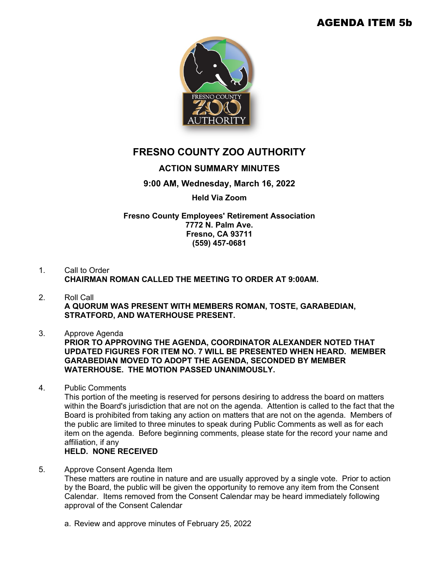## AGENDA ITEM 5b



# **FRESNO COUNTY ZOO AUTHORITY**

### **ACTION SUMMARY MINUTES**

#### **9:00 AM, Wednesday, March 16, 2022**

#### **Held Via Zoom**

#### **Fresno County Employees' Retirement Association 7772 N. Palm Ave. Fresno, CA 93711 (559) 457-0681**

- 1. Call to Order **CHAIRMAN ROMAN CALLED THE MEETING TO ORDER AT 9:00AM.**
- 2. Roll Call **A QUORUM WAS PRESENT WITH MEMBERS ROMAN, TOSTE, GARABEDIAN, STRATFORD, AND WATERHOUSE PRESENT.**
- 3. Approve Agenda

**PRIOR TO APPROVING THE AGENDA, COORDINATOR ALEXANDER NOTED THAT UPDATED FIGURES FOR ITEM NO. 7 WILL BE PRESENTED WHEN HEARD. MEMBER GARABEDIAN MOVED TO ADOPT THE AGENDA, SECONDED BY MEMBER WATERHOUSE. THE MOTION PASSED UNANIMOUSLY.**

4. Public Comments

This portion of the meeting is reserved for persons desiring to address the board on matters within the Board's jurisdiction that are not on the agenda. Attention is called to the fact that the Board is prohibited from taking any action on matters that are not on the agenda. Members of the public are limited to three minutes to speak during Public Comments as well as for each item on the agenda. Before beginning comments, please state for the record your name and affiliation, if any

## **HELD. NONE RECEIVED**

- 5. Approve Consent Agenda Item These matters are routine in nature and are usually approved by a single vote. Prior to action by the Board, the public will be given the opportunity to remove any item from the Consent Calendar. Items removed from the Consent Calendar may be heard immediately following approval of the Consent Calendar
	- a. Review and approve minutes of February 25, 2022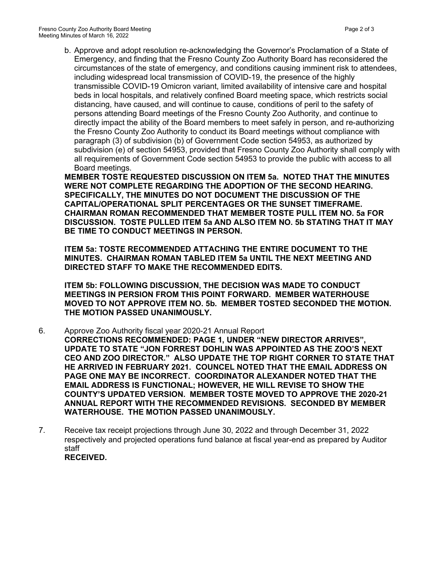b. Approve and adopt resolution re-acknowledging the Governor's Proclamation of a State of Emergency, and finding that the Fresno County Zoo Authority Board has reconsidered the circumstances of the state of emergency, and conditions causing imminent risk to attendees, including widespread local transmission of COVID-19, the presence of the highly transmissible COVID-19 Omicron variant, limited availability of intensive care and hospital beds in local hospitals, and relatively confined Board meeting space, which restricts social distancing, have caused, and will continue to cause, conditions of peril to the safety of persons attending Board meetings of the Fresno County Zoo Authority, and continue to directly impact the ability of the Board members to meet safely in person, and re-authorizing the Fresno County Zoo Authority to conduct its Board meetings without compliance with paragraph (3) of subdivision (b) of Government Code section 54953, as authorized by subdivision (e) of section 54953, provided that Fresno County Zoo Authority shall comply with all requirements of Government Code section 54953 to provide the public with access to all Board meetings.

**MEMBER TOSTE REQUESTED DISCUSSION ON ITEM 5a. NOTED THAT THE MINUTES WERE NOT COMPLETE REGARDING THE ADOPTION OF THE SECOND HEARING. SPECIFICALLY, THE MINUTES DO NOT DOCUMENT THE DISCUSSION OF THE CAPITAL/OPERATIONAL SPLIT PERCENTAGES OR THE SUNSET TIMEFRAME. CHAIRMAN ROMAN RECOMMENDED THAT MEMBER TOSTE PULL ITEM NO. 5a FOR DISCUSSION. TOSTE PULLED ITEM 5a AND ALSO ITEM NO. 5b STATING THAT IT MAY BE TIME TO CONDUCT MEETINGS IN PERSON.** 

**ITEM 5a: TOSTE RECOMMENDED ATTACHING THE ENTIRE DOCUMENT TO THE MINUTES. CHAIRMAN ROMAN TABLED ITEM 5a UNTIL THE NEXT MEETING AND DIRECTED STAFF TO MAKE THE RECOMMENDED EDITS.**

**ITEM 5b: FOLLOWING DISCUSSION, THE DECISION WAS MADE TO CONDUCT MEETINGS IN PERSION FROM THIS POINT FORWARD. MEMBER WATERHOUSE MOVED TO NOT APPROVE ITEM NO. 5b. MEMBER TOSTED SECONDED THE MOTION. THE MOTION PASSED UNANIMOUSLY.**

- 6. Approve Zoo Authority fiscal year 2020-21 Annual Report **CORRECTIONS RECOMMENDED: PAGE 1, UNDER "NEW DIRECTOR ARRIVES", UPDATE TO STATE "JON FORREST DOHLIN WAS APPOINTED AS THE ZOO'S NEXT CEO AND ZOO DIRECTOR." ALSO UPDATE THE TOP RIGHT CORNER TO STATE THAT HE ARRIVED IN FEBRUARY 2021. COUNCEL NOTED THAT THE EMAIL ADDRESS ON PAGE ONE MAY BE INCORRECT. COORDINATOR ALEXANDER NOTED THAT THE EMAIL ADDRESS IS FUNCTIONAL; HOWEVER, HE WILL REVISE TO SHOW THE COUNTY'S UPDATED VERSION. MEMBER TOSTE MOVED TO APPROVE THE 2020-21 ANNUAL REPORT WITH THE RECOMMENDED REVISIONS. SECONDED BY MEMBER WATERHOUSE. THE MOTION PASSED UNANIMOUSLY.**
- 7. Receive tax receipt projections through June 30, 2022 and through December 31, 2022 respectively and projected operations fund balance at fiscal year-end as prepared by Auditor staff **RECEIVED.**